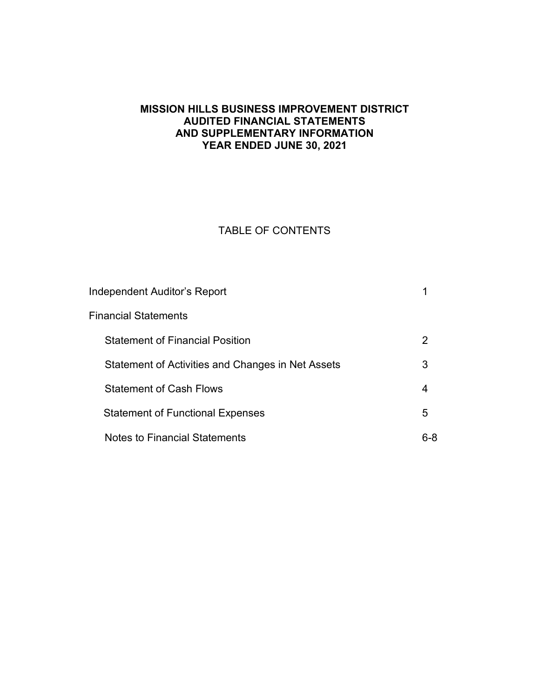# **MISSION HILLS BUSINESS IMPROVEMENT DISTRICT AUDITED FINANCIAL STATEMENTS AND SUPPLEMENTARY INFORMATION YEAR ENDED JUNE 30, 2021**

# TABLE OF CONTENTS

| Independent Auditor's Report                      |     |
|---------------------------------------------------|-----|
| <b>Financial Statements</b>                       |     |
| <b>Statement of Financial Position</b>            | 2   |
| Statement of Activities and Changes in Net Assets | 3   |
| <b>Statement of Cash Flows</b>                    | 4   |
| <b>Statement of Functional Expenses</b>           | 5   |
| <b>Notes to Financial Statements</b>              | 6-8 |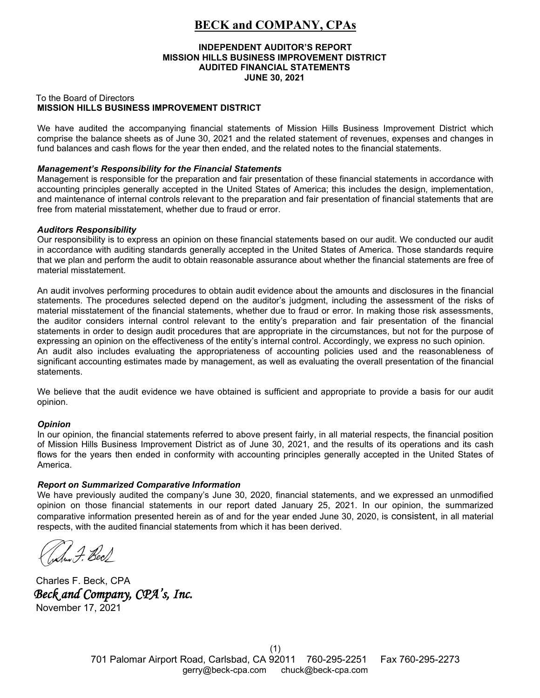# **BECK and COMPANY, CPAs**

#### **INDEPENDENT AUDITOR'S REPORT MISSION HILLS BUSINESS IMPROVEMENT DISTRICT AUDITED FINANCIAL STATEMENTS JUNE 30, 2021**

#### To the Board of Directors **MISSION HILLS BUSINESS IMPROVEMENT DISTRICT**

We have audited the accompanying financial statements of Mission Hills Business Improvement District which comprise the balance sheets as of June 30, 2021 and the related statement of revenues, expenses and changes in fund balances and cash flows for the year then ended, and the related notes to the financial statements.

#### *Management's Responsibility for the Financial Statements*

Management is responsible for the preparation and fair presentation of these financial statements in accordance with accounting principles generally accepted in the United States of America; this includes the design, implementation, and maintenance of internal controls relevant to the preparation and fair presentation of financial statements that are free from material misstatement, whether due to fraud or error.

#### *Auditors Responsibility*

Our responsibility is to express an opinion on these financial statements based on our audit. We conducted our audit in accordance with auditing standards generally accepted in the United States of America. Those standards require that we plan and perform the audit to obtain reasonable assurance about whether the financial statements are free of material misstatement.

An audit involves performing procedures to obtain audit evidence about the amounts and disclosures in the financial statements. The procedures selected depend on the auditor's judgment, including the assessment of the risks of material misstatement of the financial statements, whether due to fraud or error. In making those risk assessments, the auditor considers internal control relevant to the entity's preparation and fair presentation of the financial statements in order to design audit procedures that are appropriate in the circumstances, but not for the purpose of expressing an opinion on the effectiveness of the entity's internal control. Accordingly, we express no such opinion. An audit also includes evaluating the appropriateness of accounting policies used and the reasonableness of significant accounting estimates made by management, as well as evaluating the overall presentation of the financial statements.

We believe that the audit evidence we have obtained is sufficient and appropriate to provide a basis for our audit opinion.

### *Opinion*

In our opinion, the financial statements referred to above present fairly, in all material respects, the financial position of Mission Hills Business Improvement District as of June 30, 2021, and the results of its operations and its cash flows for the years then ended in conformity with accounting principles generally accepted in the United States of America.

### *Report on Summarized Comparative Information*

We have previously audited the company's June 30, 2020, financial statements, and we expressed an unmodified opinion on those financial statements in our report dated January 25, 2021. In our opinion, the summarized comparative information presented herein as of and for the year ended June 30, 2020, is consistent, in all material respects, with the audited financial statements from which it has been derived.

When F. Bec/

Charles F. Beck, CPA *Beck and Company, CPA's, Inc.* November 17, 2021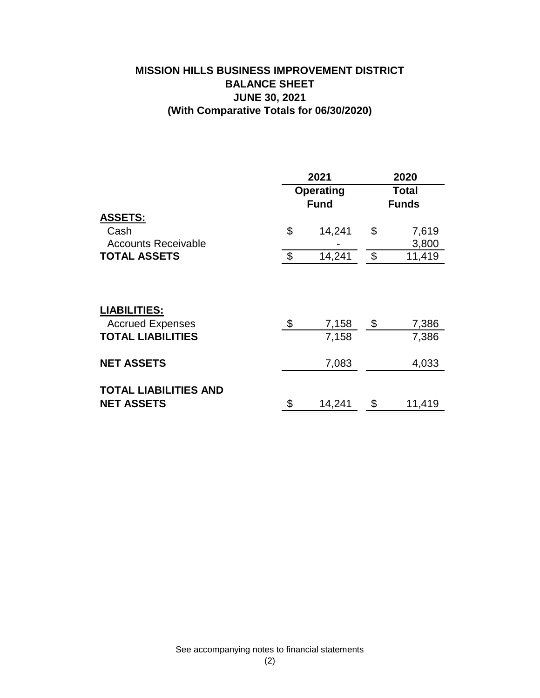# **MISSION HILLS BUSINESS IMPROVEMENT DISTRICT BALANCE SHEET JUNE 30, 2021 (With Comparative Totals for 06/30/2020)**

|                                                                            | 2021                            |                | 2020         |                |  |
|----------------------------------------------------------------------------|---------------------------------|----------------|--------------|----------------|--|
|                                                                            | <b>Operating</b><br><b>Fund</b> |                | Total        |                |  |
|                                                                            |                                 |                | <b>Funds</b> |                |  |
| <b>ASSETS:</b>                                                             |                                 |                |              |                |  |
| Cash                                                                       | \$                              | 14,241         | \$           | 7,619          |  |
| <b>Accounts Receivable</b>                                                 |                                 |                |              | 3,800          |  |
| <b>TOTAL ASSETS</b>                                                        | \$                              | 14,241         | \$           | 11,419         |  |
| <b>LIABILITIES:</b><br><b>Accrued Expenses</b><br><b>TOTAL LIABILITIES</b> | $\mathfrak{F}$                  | 7,158<br>7,158 | \$           | 7,386<br>7,386 |  |
| <b>NET ASSETS</b>                                                          |                                 | 7,083          |              | 4,033          |  |
| <b>TOTAL LIABILITIES AND</b><br><b>NET ASSETS</b>                          | \$                              | 14,241         | \$           | 11,419         |  |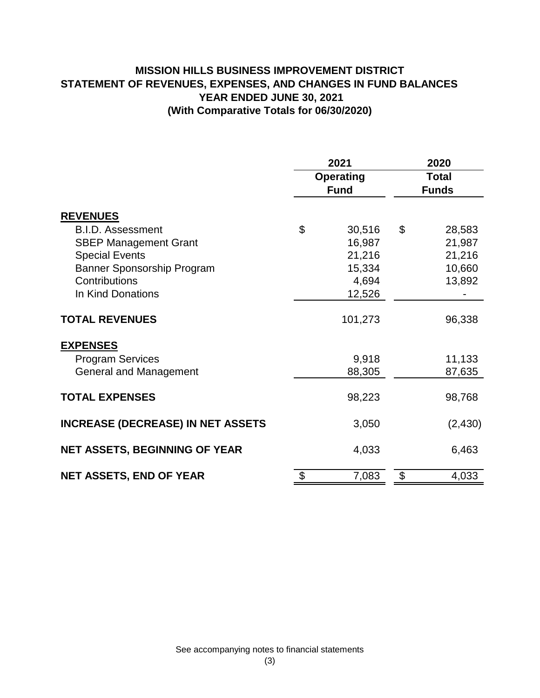# **MISSION HILLS BUSINESS IMPROVEMENT DISTRICT STATEMENT OF REVENUES, EXPENSES, AND CHANGES IN FUND BALANCES YEAR ENDED JUNE 30, 2021 (With Comparative Totals for 06/30/2020)**

|                                          | 2021             |             | 2020         |              |
|------------------------------------------|------------------|-------------|--------------|--------------|
|                                          | <b>Operating</b> |             | <b>Total</b> |              |
|                                          |                  | <b>Fund</b> |              | <b>Funds</b> |
| <b>REVENUES</b>                          |                  |             |              |              |
| <b>B.I.D. Assessment</b>                 | \$               | 30,516      | \$           | 28,583       |
| <b>SBEP Management Grant</b>             |                  | 16,987      |              | 21,987       |
| <b>Special Events</b>                    |                  | 21,216      |              | 21,216       |
| Banner Sponsorship Program               |                  | 15,334      |              | 10,660       |
| Contributions                            |                  | 4,694       |              | 13,892       |
| In Kind Donations                        |                  | 12,526      |              |              |
| <b>TOTAL REVENUES</b>                    |                  | 101,273     |              | 96,338       |
| <b>EXPENSES</b>                          |                  |             |              |              |
| <b>Program Services</b>                  |                  | 9,918       |              | 11,133       |
| <b>General and Management</b>            |                  | 88,305      |              | 87,635       |
| <b>TOTAL EXPENSES</b>                    |                  | 98,223      |              | 98,768       |
| <b>INCREASE (DECREASE) IN NET ASSETS</b> |                  | 3,050       |              | (2, 430)     |
| <b>NET ASSETS, BEGINNING OF YEAR</b>     |                  | 4,033       |              | 6,463        |
| <b>NET ASSETS, END OF YEAR</b>           |                  | 7,083       | \$           | 4,033        |

See accompanying notes to financial statements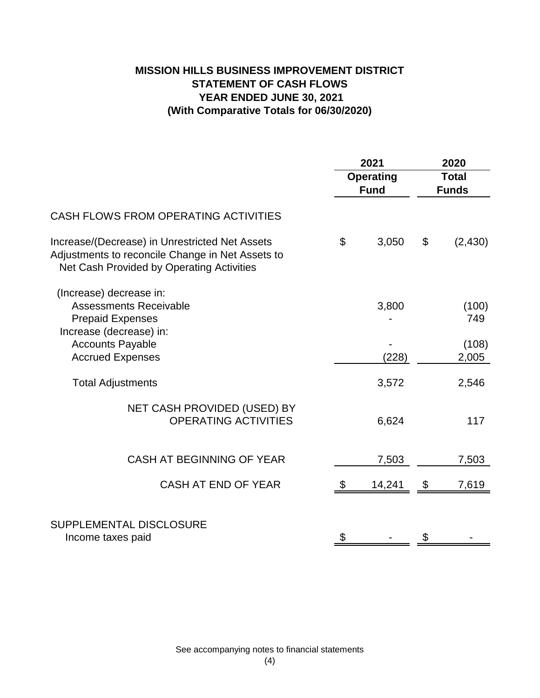# **MISSION HILLS BUSINESS IMPROVEMENT DISTRICT STATEMENT OF CASH FLOWS YEAR ENDED JUNE 30, 2021 (With Comparative Totals for 06/30/2020)**

|                                                                                                                                                 | 2021                            |        | 2020                         |                |
|-------------------------------------------------------------------------------------------------------------------------------------------------|---------------------------------|--------|------------------------------|----------------|
|                                                                                                                                                 | <b>Operating</b><br><b>Fund</b> |        | <b>Total</b><br><b>Funds</b> |                |
| <b>CASH FLOWS FROM OPERATING ACTIVITIES</b>                                                                                                     |                                 |        |                              |                |
| Increase/(Decrease) in Unrestricted Net Assets<br>Adjustments to reconcile Change in Net Assets to<br>Net Cash Provided by Operating Activities | \$                              | 3,050  | \$                           | (2, 430)       |
| (Increase) decrease in:<br><b>Assessments Receivable</b><br><b>Prepaid Expenses</b><br>Increase (decrease) in:                                  |                                 | 3,800  |                              | (100)<br>749   |
| <b>Accounts Payable</b><br><b>Accrued Expenses</b>                                                                                              |                                 | (228)  |                              | (108)<br>2,005 |
| <b>Total Adjustments</b>                                                                                                                        |                                 | 3,572  |                              | 2,546          |
| NET CASH PROVIDED (USED) BY<br><b>OPERATING ACTIVITIES</b>                                                                                      |                                 | 6,624  |                              | 117            |
| CASH AT BEGINNING OF YEAR                                                                                                                       |                                 | 7,503  |                              | 7,503          |
| CASH AT END OF YEAR                                                                                                                             |                                 | 14,241 |                              | 7,619          |
| SUPPLEMENTAL DISCLOSURE<br>Income taxes paid                                                                                                    | \$                              |        | \$                           |                |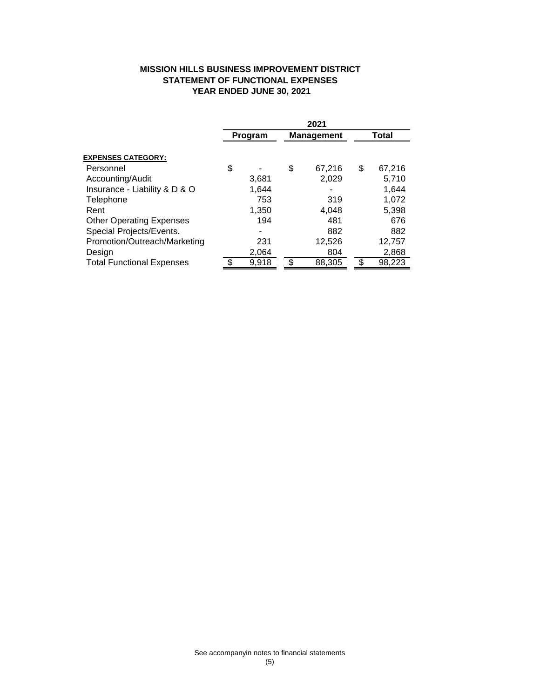# **MISSION HILLS BUSINESS IMPROVEMENT DISTRICT STATEMENT OF FUNCTIONAL EXPENSES YEAR ENDED JUNE 30, 2021**

| 2021    |       |                   |        |       |        |
|---------|-------|-------------------|--------|-------|--------|
| Program |       | <b>Management</b> |        | Total |        |
|         |       |                   |        |       |        |
|         |       |                   |        |       |        |
| \$      |       | \$                | 67,216 | \$    | 67,216 |
|         | 3,681 |                   | 2.029  |       | 5.710  |
|         | 1.644 |                   |        |       | 1.644  |
|         | 753   |                   | 319    |       | 1,072  |
|         | 1.350 |                   | 4.048  |       | 5.398  |
|         | 194   |                   | 481    |       | 676    |
|         |       |                   | 882    |       | 882    |
|         | 231   |                   | 12,526 |       | 12,757 |
|         | 2,064 |                   | 804    |       | 2,868  |
| c       | 9,918 |                   | 88.305 |       | 98,223 |
|         |       |                   |        |       |        |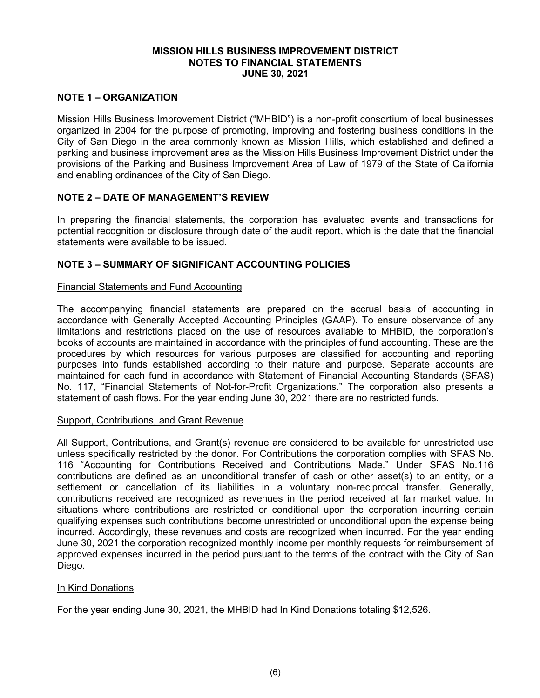## **MISSION HILLS BUSINESS IMPROVEMENT DISTRICT NOTES TO FINANCIAL STATEMENTS JUNE 30, 2021**

# **NOTE 1 – ORGANIZATION**

Mission Hills Business Improvement District ("MHBID") is a non-profit consortium of local businesses organized in 2004 for the purpose of promoting, improving and fostering business conditions in the City of San Diego in the area commonly known as Mission Hills, which established and defined a parking and business improvement area as the Mission Hills Business Improvement District under the provisions of the Parking and Business Improvement Area of Law of 1979 of the State of California and enabling ordinances of the City of San Diego.

# **NOTE 2 – DATE OF MANAGEMENT'S REVIEW**

In preparing the financial statements, the corporation has evaluated events and transactions for potential recognition or disclosure through date of the audit report, which is the date that the financial statements were available to be issued.

### **NOTE 3 – SUMMARY OF SIGNIFICANT ACCOUNTING POLICIES**

### Financial Statements and Fund Accounting

The accompanying financial statements are prepared on the accrual basis of accounting in accordance with Generally Accepted Accounting Principles (GAAP). To ensure observance of any limitations and restrictions placed on the use of resources available to MHBID, the corporation's books of accounts are maintained in accordance with the principles of fund accounting. These are the procedures by which resources for various purposes are classified for accounting and reporting purposes into funds established according to their nature and purpose. Separate accounts are maintained for each fund in accordance with Statement of Financial Accounting Standards (SFAS) No. 117, "Financial Statements of Not-for-Profit Organizations." The corporation also presents a statement of cash flows. For the year ending June 30, 2021 there are no restricted funds.

### Support, Contributions, and Grant Revenue

All Support, Contributions, and Grant(s) revenue are considered to be available for unrestricted use unless specifically restricted by the donor. For Contributions the corporation complies with SFAS No. 116 "Accounting for Contributions Received and Contributions Made." Under SFAS No.116 contributions are defined as an unconditional transfer of cash or other asset(s) to an entity, or a settlement or cancellation of its liabilities in a voluntary non-reciprocal transfer. Generally, contributions received are recognized as revenues in the period received at fair market value. In situations where contributions are restricted or conditional upon the corporation incurring certain qualifying expenses such contributions become unrestricted or unconditional upon the expense being incurred. Accordingly, these revenues and costs are recognized when incurred. For the year ending June 30, 2021 the corporation recognized monthly income per monthly requests for reimbursement of approved expenses incurred in the period pursuant to the terms of the contract with the City of San Diego.

### In Kind Donations

For the year ending June 30, 2021, the MHBID had In Kind Donations totaling \$12,526.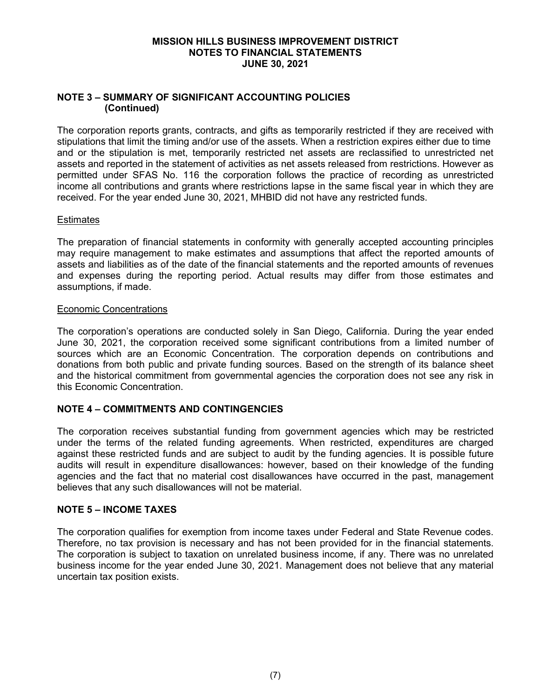### **MISSION HILLS BUSINESS IMPROVEMENT DISTRICT NOTES TO FINANCIAL STATEMENTS JUNE 30, 2021**

## **NOTE 3 – SUMMARY OF SIGNIFICANT ACCOUNTING POLICIES (Continued)**

The corporation reports grants, contracts, and gifts as temporarily restricted if they are received with stipulations that limit the timing and/or use of the assets. When a restriction expires either due to time and or the stipulation is met, temporarily restricted net assets are reclassified to unrestricted net assets and reported in the statement of activities as net assets released from restrictions. However as permitted under SFAS No. 116 the corporation follows the practice of recording as unrestricted income all contributions and grants where restrictions lapse in the same fiscal year in which they are received. For the year ended June 30, 2021, MHBID did not have any restricted funds.

# **Estimates**

The preparation of financial statements in conformity with generally accepted accounting principles may require management to make estimates and assumptions that affect the reported amounts of assets and liabilities as of the date of the financial statements and the reported amounts of revenues and expenses during the reporting period. Actual results may differ from those estimates and assumptions, if made.

### Economic Concentrations

The corporation's operations are conducted solely in San Diego, California. During the year ended June 30, 2021, the corporation received some significant contributions from a limited number of sources which are an Economic Concentration. The corporation depends on contributions and donations from both public and private funding sources. Based on the strength of its balance sheet and the historical commitment from governmental agencies the corporation does not see any risk in this Economic Concentration.

# **NOTE 4 – COMMITMENTS AND CONTINGENCIES**

The corporation receives substantial funding from government agencies which may be restricted under the terms of the related funding agreements. When restricted, expenditures are charged against these restricted funds and are subject to audit by the funding agencies. It is possible future audits will result in expenditure disallowances: however, based on their knowledge of the funding agencies and the fact that no material cost disallowances have occurred in the past, management believes that any such disallowances will not be material.

# **NOTE 5 – INCOME TAXES**

The corporation qualifies for exemption from income taxes under Federal and State Revenue codes. Therefore, no tax provision is necessary and has not been provided for in the financial statements. The corporation is subject to taxation on unrelated business income, if any. There was no unrelated business income for the year ended June 30, 2021. Management does not believe that any material uncertain tax position exists.